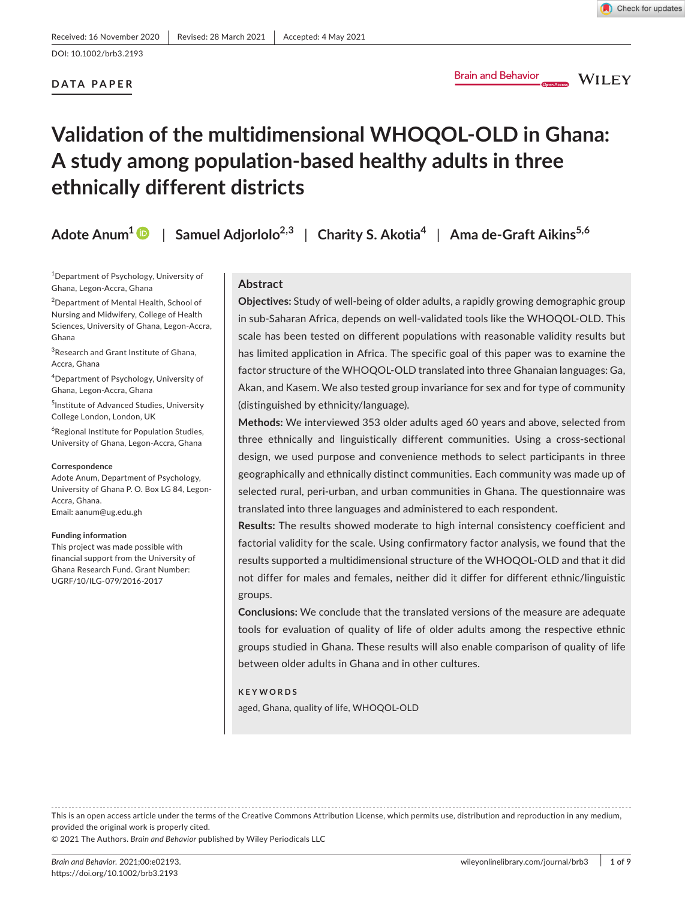# **DATA PAPER**

**Brain and Behavior** 

**WILEY** 

# **Validation of the multidimensional WHOQOL-OLD in Ghana: A study among population-based healthy adults in three ethnically different districts**

**Adote Anum1** | **Samuel Adjorlolo2,3** | **Charity S. Akotia<sup>4</sup>** | **Ama de-Graft Aikins5,6**

1 Department of Psychology, University of Ghana, Legon-Accra, Ghana

2 Department of Mental Health, School of Nursing and Midwifery, College of Health Sciences, University of Ghana, Legon-Accra, Ghana

 ${}^{3}$ Research and Grant Institute of Ghana, Accra, Ghana

4 Department of Psychology, University of Ghana, Legon-Accra, Ghana

5 Institute of Advanced Studies, University College London, London, UK

6 Regional Institute for Population Studies, University of Ghana, Legon-Accra, Ghana

#### **Correspondence**

Adote Anum, Department of Psychology, University of Ghana P. O. Box LG 84, Legon-Accra, Ghana. Email: [aanum@ug.edu.gh](mailto:aanum@ug.edu.gh)

#### **Funding information**

This project was made possible with financial support from the University of Ghana Research Fund. Grant Number: UGRF/10/ILG-079/2016-2017

## **Abstract**

**Objectives:** Study of well-being of older adults, a rapidly growing demographic group in sub-Saharan Africa, depends on well-validated tools like the WHOQOL-OLD. This scale has been tested on different populations with reasonable validity results but has limited application in Africa. The specific goal of this paper was to examine the factor structure of the WHOQOL-OLD translated into three Ghanaian languages: Ga, Akan, and Kasem. We also tested group invariance for sex and for type of community (distinguished by ethnicity/language).

**Methods:** We interviewed 353 older adults aged 60 years and above, selected from three ethnically and linguistically different communities. Using a cross-sectional design, we used purpose and convenience methods to select participants in three geographically and ethnically distinct communities. Each community was made up of selected rural, peri-urban, and urban communities in Ghana. The questionnaire was translated into three languages and administered to each respondent.

**Results:** The results showed moderate to high internal consistency coefficient and factorial validity for the scale. Using confirmatory factor analysis, we found that the results supported a multidimensional structure of the WHOQOL-OLD and that it did not differ for males and females, neither did it differ for different ethnic/linguistic groups.

**Conclusions:** We conclude that the translated versions of the measure are adequate tools for evaluation of quality of life of older adults among the respective ethnic groups studied in Ghana. These results will also enable comparison of quality of life between older adults in Ghana and in other cultures.

#### **KEYWORDS**

aged, Ghana, quality of life, WHOQOL-OLD

This is an open access article under the terms of the Creative Commons [Attribution](http://creativecommons.org/licenses/by/4.0/) License, which permits use, distribution and reproduction in any medium, provided the original work is properly cited.

© 2021 The Authors. *Brain and Behavior* published by Wiley Periodicals LLC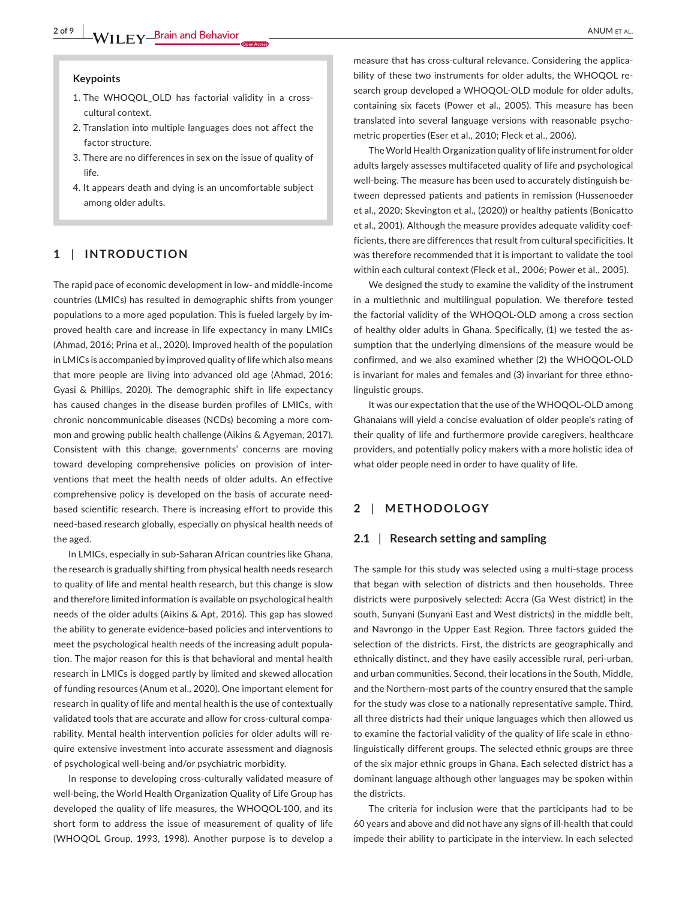### **Keypoints**

- 1. The WHOQOL\_OLD has factorial validity in a crosscultural context.
- 2. Translation into multiple languages does not affect the factor structure.
- 3. There are no differences in sex on the issue of quality of life.
- 4. It appears death and dying is an uncomfortable subject among older adults.

# **1** | **INTRODUCTION**

The rapid pace of economic development in low- and middle-income countries (LMICs) has resulted in demographic shifts from younger populations to a more aged population. This is fueled largely by improved health care and increase in life expectancy in many LMICs (Ahmad, 2016; Prina et al., 2020). Improved health of the population in LMICs is accompanied by improved quality of life which also means that more people are living into advanced old age (Ahmad, 2016; Gyasi & Phillips, 2020). The demographic shift in life expectancy has caused changes in the disease burden profiles of LMICs, with chronic noncommunicable diseases (NCDs) becoming a more common and growing public health challenge (Aikins & Agyeman, 2017). Consistent with this change, governments' concerns are moving toward developing comprehensive policies on provision of interventions that meet the health needs of older adults. An effective comprehensive policy is developed on the basis of accurate needbased scientific research. There is increasing effort to provide this need-based research globally, especially on physical health needs of the aged.

In LMICs, especially in sub-Saharan African countries like Ghana, the research is gradually shifting from physical health needs research to quality of life and mental health research, but this change is slow and therefore limited information is available on psychological health needs of the older adults (Aikins & Apt, 2016). This gap has slowed the ability to generate evidence-based policies and interventions to meet the psychological health needs of the increasing adult population. The major reason for this is that behavioral and mental health research in LMICs is dogged partly by limited and skewed allocation of funding resources (Anum et al., 2020). One important element for research in quality of life and mental health is the use of contextually validated tools that are accurate and allow for cross-cultural comparability. Mental health intervention policies for older adults will require extensive investment into accurate assessment and diagnosis of psychological well-being and/or psychiatric morbidity.

In response to developing cross-culturally validated measure of well-being, the World Health Organization Quality of Life Group has developed the quality of life measures, the WHOQOL-100, and its short form to address the issue of measurement of quality of life (WHOQOL Group, 1993, 1998). Another purpose is to develop a

measure that has cross-cultural relevance. Considering the applicability of these two instruments for older adults, the WHOQOL research group developed a WHOQOL-OLD module for older adults, containing six facets (Power et al., 2005). This measure has been translated into several language versions with reasonable psychometric properties (Eser et al., 2010; Fleck et al., 2006).

The World Health Organization quality of life instrument for older adults largely assesses multifaceted quality of life and psychological well-being. The measure has been used to accurately distinguish between depressed patients and patients in remission (Hussenoeder et al., 2020; Skevington et al., (2020)) or healthy patients (Bonicatto et al., 2001). Although the measure provides adequate validity coefficients, there are differences that result from cultural specificities. It was therefore recommended that it is important to validate the tool within each cultural context (Fleck et al., 2006; Power et al., 2005).

We designed the study to examine the validity of the instrument in a multiethnic and multilingual population. We therefore tested the factorial validity of the WHOQOL-OLD among a cross section of healthy older adults in Ghana. Specifically, (1) we tested the assumption that the underlying dimensions of the measure would be confirmed, and we also examined whether (2) the WHOQOL-OLD is invariant for males and females and (3) invariant for three ethnolinguistic groups.

It was our expectation that the use of the WHOQOL-OLD among Ghanaians will yield a concise evaluation of older people's rating of their quality of life and furthermore provide caregivers, healthcare providers, and potentially policy makers with a more holistic idea of what older people need in order to have quality of life.

# **2** | **METHODOLOGY**

## **2.1** | **Research setting and sampling**

The sample for this study was selected using a multi-stage process that began with selection of districts and then households. Three districts were purposively selected: Accra (Ga West district) in the south, Sunyani (Sunyani East and West districts) in the middle belt, and Navrongo in the Upper East Region. Three factors guided the selection of the districts. First, the districts are geographically and ethnically distinct, and they have easily accessible rural, peri-urban, and urban communities. Second, their locations in the South, Middle, and the Northern-most parts of the country ensured that the sample for the study was close to a nationally representative sample. Third, all three districts had their unique languages which then allowed us to examine the factorial validity of the quality of life scale in ethnolinguistically different groups. The selected ethnic groups are three of the six major ethnic groups in Ghana. Each selected district has a dominant language although other languages may be spoken within the districts.

The criteria for inclusion were that the participants had to be 60 years and above and did not have any signs of ill-health that could impede their ability to participate in the interview. In each selected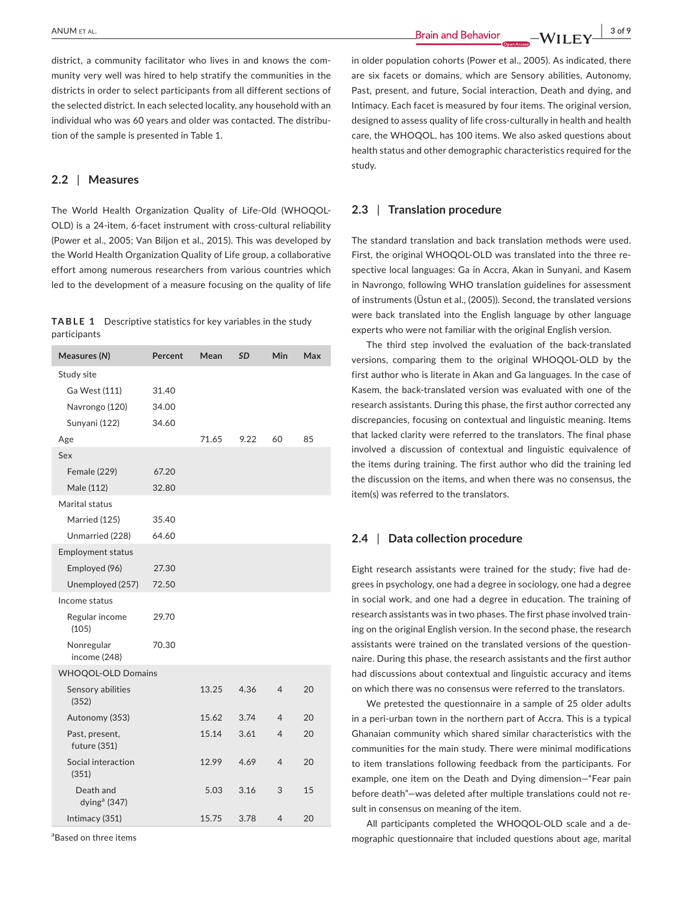district, a community facilitator who lives in and knows the community very well was hired to help stratify the communities in the districts in order to select participants from all different sections of the selected district. In each selected locality, any household with an individual who was 60 years and older was contacted. The distribution of the sample is presented in Table 1.

# **2.2** | **Measures**

The World Health Organization Quality of Life-Old (WHOQOL-OLD) is a 24-item, 6-facet instrument with cross-cultural reliability (Power et al., 2005; Van Biljon et al., 2015). This was developed by the World Health Organization Quality of Life group, a collaborative effort among numerous researchers from various countries which led to the development of a measure focusing on the quality of life

|              | <b>TABLE 1</b> Descriptive statistics for key variables in the study |
|--------------|----------------------------------------------------------------------|
| participants |                                                                      |

| Measures (N)                          | Percent | Mean  | <b>SD</b> | Min            | Max |
|---------------------------------------|---------|-------|-----------|----------------|-----|
| Study site                            |         |       |           |                |     |
| Ga West (111)                         | 31.40   |       |           |                |     |
| Navrongo (120)                        | 34.00   |       |           |                |     |
| Sunyani (122)                         | 34.60   |       |           |                |     |
| Age                                   |         | 71.65 | 9.22      | 60             | 85  |
| Sex                                   |         |       |           |                |     |
| <b>Female (229)</b>                   | 67.20   |       |           |                |     |
| Male (112)                            | 32.80   |       |           |                |     |
| Marital status                        |         |       |           |                |     |
| Married (125)                         | 35.40   |       |           |                |     |
| Unmarried (228)                       | 64.60   |       |           |                |     |
| <b>Employment status</b>              |         |       |           |                |     |
| Employed (96)                         | 27.30   |       |           |                |     |
| Unemployed (257)                      | 72.50   |       |           |                |     |
| Income status                         |         |       |           |                |     |
| Regular income<br>(105)               | 29.70   |       |           |                |     |
| Nonregular<br>income (248)            | 70.30   |       |           |                |     |
| <b>WHOQOL-OLD Domains</b>             |         |       |           |                |     |
| Sensory abilities<br>(352)            |         | 13.25 | 4.36      | 4              | 20  |
| Autonomy (353)                        |         | 15.62 | 3.74      | $\overline{4}$ | 20  |
| Past, present,<br>future (351)        |         | 15.14 | 3.61      | $\overline{4}$ | 20  |
| Social interaction<br>(351)           |         | 12.99 | 4.69      | $\overline{4}$ | 20  |
| Death and<br>dying <sup>a</sup> (347) |         | 5.03  | 3.16      | 3              | 15  |
| Intimacy (351)                        |         | 15.75 | 3.78      | 4              | 20  |
|                                       |         |       |           |                |     |

<sup>a</sup>Based on three items

in older population cohorts (Power et al., 2005). As indicated, there are six facets or domains, which are Sensory abilities, Autonomy, Past, present, and future, Social interaction, Death and dying, and Intimacy. Each facet is measured by four items. The original version, designed to assess quality of life cross-culturally in health and health care, the WHOQOL, has 100 items. We also asked questions about health status and other demographic characteristics required for the study.

#### **2.3** | **Translation procedure**

The standard translation and back translation methods were used. First, the original WHOQOL-OLD was translated into the three respective local languages: Ga in Accra, Akan in Sunyani, and Kasem in Navrongo, following WHO translation guidelines for assessment of instruments (Üstun et al., (2005)). Second, the translated versions were back translated into the English language by other language experts who were not familiar with the original English version.

The third step involved the evaluation of the back-translated versions, comparing them to the original WHOQOL-OLD by the first author who is literate in Akan and Ga languages. In the case of Kasem, the back-translated version was evaluated with one of the research assistants. During this phase, the first author corrected any discrepancies, focusing on contextual and linguistic meaning. Items that lacked clarity were referred to the translators. The final phase involved a discussion of contextual and linguistic equivalence of the items during training. The first author who did the training led the discussion on the items, and when there was no consensus, the item(s) was referred to the translators.

#### **2.4** | **Data collection procedure**

Eight research assistants were trained for the study; five had degrees in psychology, one had a degree in sociology, one had a degree in social work, and one had a degree in education. The training of research assistants was in two phases. The first phase involved training on the original English version. In the second phase, the research assistants were trained on the translated versions of the questionnaire. During this phase, the research assistants and the first author had discussions about contextual and linguistic accuracy and items on which there was no consensus were referred to the translators.

We pretested the questionnaire in a sample of 25 older adults in a peri-urban town in the northern part of Accra. This is a typical Ghanaian community which shared similar characteristics with the communities for the main study. There were minimal modifications to item translations following feedback from the participants. For example, one item on the Death and Dying dimension—"Fear pain before death"—was deleted after multiple translations could not result in consensus on meaning of the item.

All participants completed the WHOQOL-OLD scale and a demographic questionnaire that included questions about age, marital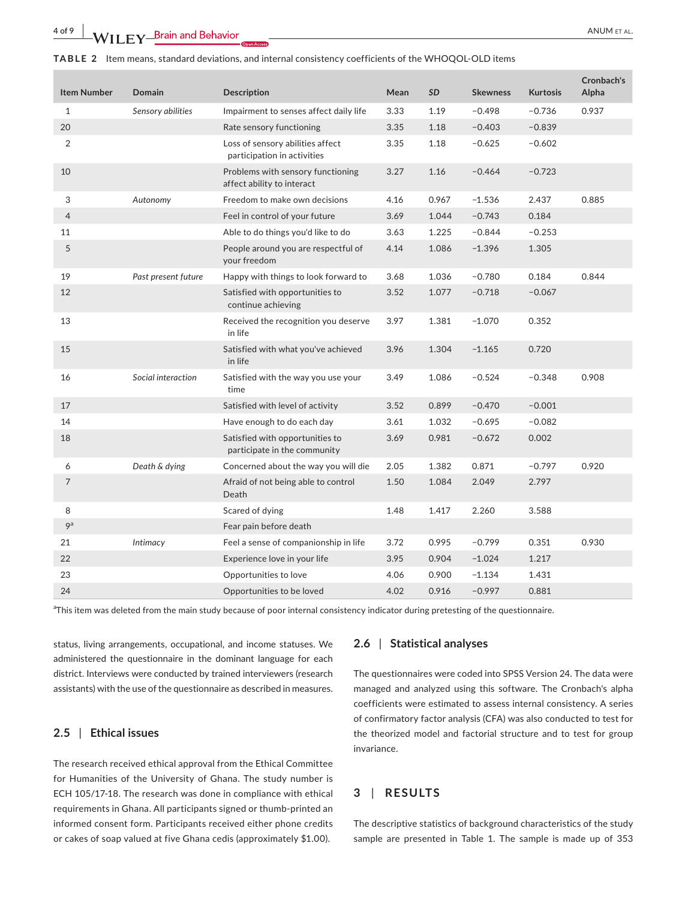| <b>Item Number</b> | <b>Domain</b>       | <b>Description</b>                                              | Mean | SD    | <b>Skewness</b> | <b>Kurtosis</b> | Cronbach's<br>Alpha |
|--------------------|---------------------|-----------------------------------------------------------------|------|-------|-----------------|-----------------|---------------------|
| $\mathbf{1}$       | Sensory abilities   | Impairment to senses affect daily life                          | 3.33 | 1.19  | $-0.498$        | $-0.736$        | 0.937               |
| 20                 |                     | Rate sensory functioning                                        | 3.35 | 1.18  | $-0.403$        | $-0.839$        |                     |
| 2                  |                     | Loss of sensory abilities affect<br>participation in activities | 3.35 | 1.18  | $-0.625$        | $-0.602$        |                     |
| 10                 |                     | Problems with sensory functioning<br>affect ability to interact | 3.27 | 1.16  | $-0.464$        | $-0.723$        |                     |
| 3                  | Autonomy            | Freedom to make own decisions                                   | 4.16 | 0.967 | $-1.536$        | 2.437           | 0.885               |
| $\overline{4}$     |                     | Feel in control of your future                                  | 3.69 | 1.044 | $-0.743$        | 0.184           |                     |
| 11                 |                     | Able to do things you'd like to do                              | 3.63 | 1.225 | $-0.844$        | $-0.253$        |                     |
| 5                  |                     | People around you are respectful of<br>your freedom             | 4.14 | 1.086 | $-1.396$        | 1.305           |                     |
| 19                 | Past present future | Happy with things to look forward to                            | 3.68 | 1.036 | $-0.780$        | 0.184           | 0.844               |
| 12                 |                     | Satisfied with opportunities to<br>continue achieving           | 3.52 | 1.077 | $-0.718$        | $-0.067$        |                     |
| 13                 |                     | Received the recognition you deserve<br>in life                 | 3.97 | 1.381 | $-1.070$        | 0.352           |                     |
| 15                 |                     | Satisfied with what you've achieved<br>in life                  | 3.96 | 1.304 | $-1.165$        | 0.720           |                     |
| 16                 | Social interaction  | Satisfied with the way you use your<br>time                     | 3.49 | 1.086 | $-0.524$        | $-0.348$        | 0.908               |
| 17                 |                     | Satisfied with level of activity                                | 3.52 | 0.899 | $-0.470$        | $-0.001$        |                     |
| 14                 |                     | Have enough to do each day                                      | 3.61 | 1.032 | $-0.695$        | $-0.082$        |                     |
| 18                 |                     | Satisfied with opportunities to<br>participate in the community | 3.69 | 0.981 | $-0.672$        | 0.002           |                     |
| 6                  | Death & dying       | Concerned about the way you will die                            | 2.05 | 1.382 | 0.871           | $-0.797$        | 0.920               |
| 7                  |                     | Afraid of not being able to control<br>Death                    | 1.50 | 1.084 | 2.049           | 2.797           |                     |
| 8                  |                     | Scared of dying                                                 | 1.48 | 1.417 | 2.260           | 3.588           |                     |
| 9 <sup>a</sup>     |                     | Fear pain before death                                          |      |       |                 |                 |                     |
| 21                 | Intimacy            | Feel a sense of companionship in life                           | 3.72 | 0.995 | $-0.799$        | 0.351           | 0.930               |
| 22                 |                     | Experience love in your life                                    | 3.95 | 0.904 | $-1.024$        | 1.217           |                     |
| 23                 |                     | Opportunities to love                                           | 4.06 | 0.900 | $-1.134$        | 1.431           |                     |
| 24                 |                     | Opportunities to be loved                                       | 4.02 | 0.916 | $-0.997$        | 0.881           |                     |

<sup>a</sup>This item was deleted from the main study because of poor internal consistency indicator during pretesting of the questionnaire.

status, living arrangements, occupational, and income statuses. We administered the questionnaire in the dominant language for each district. Interviews were conducted by trained interviewers (research assistants) with the use of the questionnaire as described in measures.

# **2.5** | **Ethical issues**

The research received ethical approval from the Ethical Committee for Humanities of the University of Ghana. The study number is ECH 105/17-18. The research was done in compliance with ethical requirements in Ghana. All participants signed or thumb-printed an informed consent form. Participants received either phone credits or cakes of soap valued at five Ghana cedis (approximately \$1.00).

## **2.6** | **Statistical analyses**

The questionnaires were coded into SPSS Version 24. The data were managed and analyzed using this software. The Cronbach's alpha coefficients were estimated to assess internal consistency. A series of confirmatory factor analysis (CFA) was also conducted to test for the theorized model and factorial structure and to test for group invariance.

# **3** | **RESULTS**

The descriptive statistics of background characteristics of the study sample are presented in Table 1. The sample is made up of 353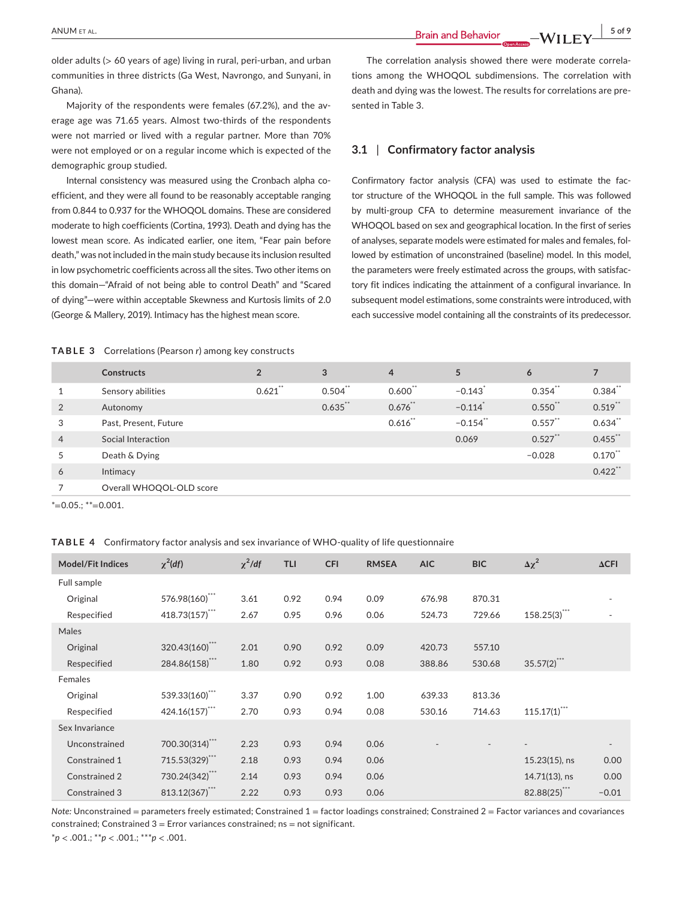**ANUM ET AL. 1997 5 of 9 Brain and Behavior CONTIEX 1998 1998 1999 1999 1999 1999 1999 1999 1999 1999 1999 1999 1999 1999 1999 1999 1999 1999 1999 1999 1999 1999 1999** 

older adults (> 60 years of age) living in rural, peri-urban, and urban communities in three districts (Ga West, Navrongo, and Sunyani, in Ghana).

Majority of the respondents were females (67.2%), and the average age was 71.65 years. Almost two-thirds of the respondents were not married or lived with a regular partner. More than 70% were not employed or on a regular income which is expected of the demographic group studied.

Internal consistency was measured using the Cronbach alpha coefficient, and they were all found to be reasonably acceptable ranging from 0.844 to 0.937 for the WHOQOL domains. These are considered moderate to high coefficients (Cortina, 1993). Death and dying has the lowest mean score. As indicated earlier, one item, "Fear pain before death," was not included in the main study because its inclusion resulted in low psychometric coefficients across all the sites. Two other items on this domain—"Afraid of not being able to control Death" and "Scared of dying"—were within acceptable Skewness and Kurtosis limits of 2.0 (George & Mallery, 2019). Intimacy has the highest mean score.

The correlation analysis showed there were moderate correlations among the WHOQOL subdimensions. The correlation with death and dying was the lowest. The results for correlations are presented in Table 3.

# **3.1** | **Confirmatory factor analysis**

Confirmatory factor analysis (CFA) was used to estimate the factor structure of the WHOQOL in the full sample. This was followed by multi-group CFA to determine measurement invariance of the WHOQOL based on sex and geographical location. In the first of series of analyses, separate models were estimated for males and females, followed by estimation of unconstrained (baseline) model. In this model, the parameters were freely estimated across the groups, with satisfactory fit indices indicating the attainment of a configural invariance. In subsequent model estimations, some constraints were introduced, with each successive model containing all the constraints of its predecessor.

#### **TABLE 3** Correlations (Pearson *r*) among key constructs

|                | <b>Constructs</b>        | $\overline{2}$ | 3          | $\overline{4}$ | 5                     | 6          |            |
|----------------|--------------------------|----------------|------------|----------------|-----------------------|------------|------------|
|                | Sensory abilities        | $0.621$ **     | $0.504$ ** | $0.600$ **     | $-0.143$ <sup>*</sup> | $0.354$ ** | $0.384$ ** |
| 2              | Autonomy                 |                | $0.635$ ** | $0.676$ **     | $-0.114$ <sup>*</sup> | $0.550$ ** | $0.519$ ** |
| 3              | Past, Present, Future    |                |            | 0.616          | $-0.154$ **           | $0.557$ ** | $0.634$ ** |
| $\overline{4}$ | Social Interaction       |                |            |                | 0.069                 | $0.527$ ** | $0.455$ ** |
| 5              | Death & Dying            |                |            |                |                       | $-0.028$   | $0.170$ ** |
| 6              | Intimacy                 |                |            |                |                       |            | $0.422$ ** |
|                | Overall WHOQOL-OLD score |                |            |                |                       |            |            |

 $*=0.05$ .; \*\*=0.001.

**TABLE 4** Confirmatory factor analysis and sex invariance of WHO-quality of life questionnaire

| <b>Model/Fit Indices</b> | $\chi^2$ (df)  | $\chi^2$ /df | <b>TLI</b> | <b>CFI</b> | <b>RMSEA</b> | <b>AIC</b> | <b>BIC</b> | $\Delta \chi^2$  | $\Delta$ CFI             |
|--------------------------|----------------|--------------|------------|------------|--------------|------------|------------|------------------|--------------------------|
| Full sample              |                |              |            |            |              |            |            |                  |                          |
| Original                 | 576.98(160)*** | 3.61         | 0.92       | 0.94       | 0.09         | 676.98     | 870.31     |                  |                          |
| Respecified              | 418.73(157)*** | 2.67         | 0.95       | 0.96       | 0.06         | 524.73     | 729.66     | $158.25(3)$ ***  | ٠                        |
| Males                    |                |              |            |            |              |            |            |                  |                          |
| Original                 | 320.43(160)    | 2.01         | 0.90       | 0.92       | 0.09         | 420.73     | 557.10     |                  |                          |
| Respecified              | 284.86(158)*** | 1.80         | 0.92       | 0.93       | 0.08         | 388.86     | 530.68     | $35.57(2)$ ***   |                          |
| Females                  |                |              |            |            |              |            |            |                  |                          |
| Original                 | 539.33(160)    | 3.37         | 0.90       | 0.92       | 1.00         | 639.33     | 813.36     |                  |                          |
| Respecified              | 424.16(157)*** | 2.70         | 0.93       | 0.94       | 0.08         | 530.16     | 714.63     | $115.17(1)$ ***  |                          |
| Sex Invariance           |                |              |            |            |              |            |            |                  |                          |
| Unconstrained            | 700.30(314)**  | 2.23         | 0.93       | 0.94       | 0.06         |            |            |                  | $\overline{\phantom{a}}$ |
| Constrained 1            | 715.53(329)*** | 2.18         | 0.93       | 0.94       | 0.06         |            |            | $15.23(15)$ , ns | 0.00                     |
| Constrained 2            | 730.24(342)*** | 2.14         | 0.93       | 0.94       | 0.06         |            |            | 14.71(13), ns    | 0.00                     |
| Constrained 3            | 813.12(367)*** | 2.22         | 0.93       | 0.93       | 0.06         |            |            | 82.88(25)        | $-0.01$                  |

*Note:* Unconstrained = parameters freely estimated; Constrained 1 = factor loadings constrained; Constrained 2 = Factor variances and covariances constrained; Constrained  $3$  = Error variances constrained;  $ns$  = not significant.

\**p* < .001.; \*\**p* < .001.; \*\*\**p* < .001.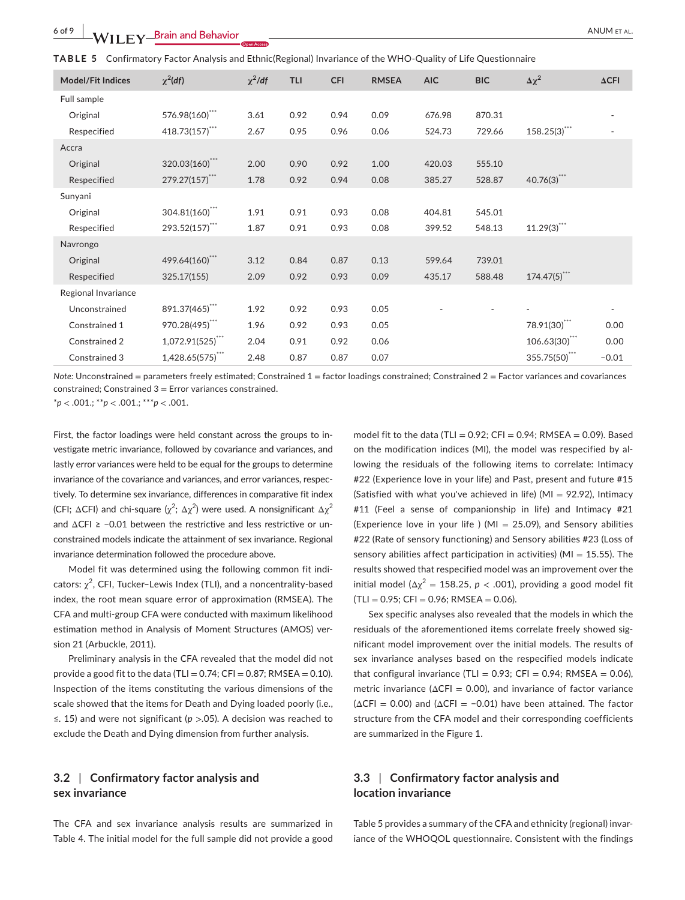|  | TABLE 5 Confirmatory Factor Analysis and Ethnic(Regional) Invariance of the WHO-Quality of Life Questionnaire |  |  |  |  |  |
|--|---------------------------------------------------------------------------------------------------------------|--|--|--|--|--|
|--|---------------------------------------------------------------------------------------------------------------|--|--|--|--|--|

| <b>Model/Fit Indices</b> | $\chi^2$ (df)       | $\chi^2$ /df | <b>TLI</b> | <b>CFI</b> | <b>RMSEA</b> | <b>AIC</b> | <b>BIC</b> | $\Delta \chi^2$          | $\Delta$ CFI |
|--------------------------|---------------------|--------------|------------|------------|--------------|------------|------------|--------------------------|--------------|
| Full sample              |                     |              |            |            |              |            |            |                          |              |
| Original                 | 576.98(160)***      | 3.61         | 0.92       | 0.94       | 0.09         | 676.98     | 870.31     |                          |              |
| Respecified              | 418.73(157)***      | 2.67         | 0.95       | 0.96       | 0.06         | 524.73     | 729.66     | $158.25(3)$ ***          |              |
| Accra                    |                     |              |            |            |              |            |            |                          |              |
| Original                 | 320.03(160)***      | 2.00         | 0.90       | 0.92       | 1.00         | 420.03     | 555.10     |                          |              |
| Respecified              | 279.27(157)***      | 1.78         | 0.92       | 0.94       | 0.08         | 385.27     | 528.87     | $40.76(3)$ ***           |              |
| Sunyani                  |                     |              |            |            |              |            |            |                          |              |
| Original                 | 304.81(160)***      | 1.91         | 0.91       | 0.93       | 0.08         | 404.81     | 545.01     |                          |              |
| Respecified              | 293.52(157)***      | 1.87         | 0.91       | 0.93       | 0.08         | 399.52     | 548.13     | $11.29(3)$ ***           |              |
| Navrongo                 |                     |              |            |            |              |            |            |                          |              |
| Original                 | 499.64(160)***      | 3.12         | 0.84       | 0.87       | 0.13         | 599.64     | 739.01     |                          |              |
| Respecified              | 325.17(155)         | 2.09         | 0.92       | 0.93       | 0.09         | 435.17     | 588.48     | $174.47(5)$ <sup>"</sup> |              |
| Regional Invariance      |                     |              |            |            |              |            |            |                          |              |
| Unconstrained            | 891.37(465)***      | 1.92         | 0.92       | 0.93       | 0.05         |            |            |                          |              |
| Constrained 1            | 970.28(495)***      | 1.96         | 0.92       | 0.93       | 0.05         |            |            | $78.91(30)$ ***          | 0.00         |
| Constrained 2            | $1,072.91(525)$ *** | 2.04         | 0.91       | 0.92       | 0.06         |            |            | $106.63(30)$ ***         | 0.00         |
| Constrained 3            | $1,428.65(575)$ *** | 2.48         | 0.87       | 0.87       | 0.07         |            |            | 355.75(50)***            | $-0.01$      |

*Note:* Unconstrained = parameters freely estimated; Constrained 1 = factor loadings constrained; Constrained 2 = Factor variances and covariances constrained; Constrained 3 = Error variances constrained.

\**p* < .001.; \*\**p* < .001.; \*\*\**p* < .001.

First, the factor loadings were held constant across the groups to investigate metric invariance, followed by covariance and variances, and lastly error variances were held to be equal for the groups to determine invariance of the covariance and variances, and error variances, respectively. To determine sex invariance, differences in comparative fit index (CFI; ΔCFI) and chi-square ( $\chi^2$ ; Δ $\chi^2$ ) were used. A nonsignificant Δ $\chi^2$ and  $\Delta$ CFI ≥ -0.01 between the restrictive and less restrictive or unconstrained models indicate the attainment of sex invariance. Regional invariance determination followed the procedure above.

Model fit was determined using the following common fit indicators:  $\chi^2$ , CFI, Tucker–Lewis Index (TLI), and a noncentrality-based index, the root mean square error of approximation (RMSEA). The CFA and multi-group CFA were conducted with maximum likelihood estimation method in Analysis of Moment Structures (AMOS) version 21 (Arbuckle, 2011).

Preliminary analysis in the CFA revealed that the model did not provide a good fit to the data (TLI =  $0.74$ ; CFI =  $0.87$ ; RMSEA =  $0.10$ ). Inspection of the items constituting the various dimensions of the scale showed that the items for Death and Dying loaded poorly (i.e., ≤. 15) and were not significant (*p* >.05). A decision was reached to exclude the Death and Dying dimension from further analysis.

# **3.2** | **Confirmatory factor analysis and sex invariance**

The CFA and sex invariance analysis results are summarized in Table 4. The initial model for the full sample did not provide a good

model fit to the data (TLI =  $0.92$ ; CFI =  $0.94$ ; RMSEA =  $0.09$ ). Based on the modification indices (MI), the model was respecified by allowing the residuals of the following items to correlate: Intimacy #22 (Experience love in your life) and Past, present and future #15 (Satisfied with what you've achieved in life) ( $MI = 92.92$ ), Intimacy #11 (Feel a sense of companionship in life) and Intimacy #21 (Experience love in your life ) (MI = 25.09), and Sensory abilities #22 (Rate of sensory functioning) and Sensory abilities #23 (Loss of sensory abilities affect participation in activities) (MI = 15.55). The results showed that respecified model was an improvement over the initial model ( $\Delta \chi^2$  = 158.25, *p* < .001), providing a good model fit  $(TLI = 0.95; CFI = 0.96; RMSEA = 0.06).$ 

Sex specific analyses also revealed that the models in which the residuals of the aforementioned items correlate freely showed significant model improvement over the initial models. The results of sex invariance analyses based on the respecified models indicate that configural invariance (TLI =  $0.93$ ; CFI =  $0.94$ ; RMSEA =  $0.06$ ), metric invariance ( $\Delta$ CFI = 0.00), and invariance of factor variance  $(\Delta CFI = 0.00)$  and  $(\Delta CFI = -0.01)$  have been attained. The factor structure from the CFA model and their corresponding coefficients are summarized in the Figure 1.

# **3.3** | **Confirmatory factor analysis and location invariance**

Table 5 provides a summary of the CFA and ethnicity (regional) invariance of the WHOQOL questionnaire. Consistent with the findings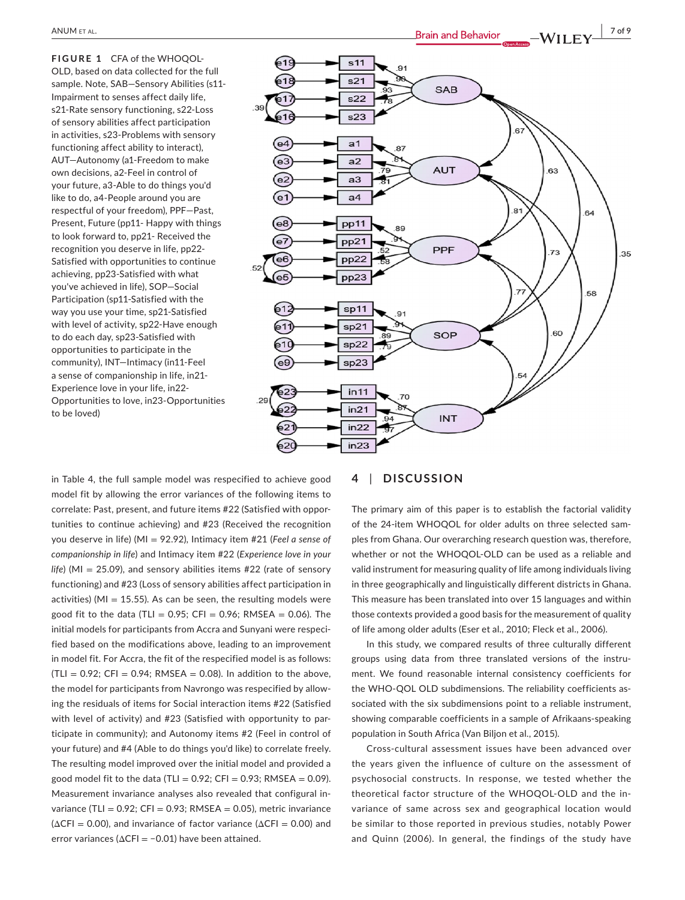**FIGURE 1** CFA of the WHOQOL-OLD, based on data collected for the full sample. Note, SAB—Sensory Abilities (s11- Impairment to senses affect daily life, s21-Rate sensory functioning, s22-Loss of sensory abilities affect participation in activities, s23-Problems with sensory functioning affect ability to interact), AUT—Autonomy (a1-Freedom to make own decisions, a2-Feel in control of your future, a3-Able to do things you'd like to do, a4-People around you are respectful of your freedom), PPF—Past, Present, Future (pp11- Happy with things to look forward to, pp21- Received the recognition you deserve in life, pp22- Satisfied with opportunities to continue achieving, pp23-Satisfied with what you've achieved in life), SOP—Social Participation (sp11-Satisfied with the way you use your time, sp21-Satisfied with level of activity, sp22-Have enough to do each day, sp23-Satisfied with opportunities to participate in the community), INT—Intimacy (in11-Feel a sense of companionship in life, in21- Experience love in your life, in22- Opportunities to love, in23-Opportunities to be loved)

 $s<sub>11</sub>$  $\alpha$ ৯৯  $s21$ SAB s22 s23  $\mathbf{a}$  $a<sub>1</sub>$ 87  $a2$ **AUT** 63  $a<sub>3</sub>$  $a<sub>4</sub>$  $8<sup>1</sup>$ 64 68 pp11 **RC** e7)  $pp21$ PPF  $\overline{73}$ 35 pp22  $e6$ e5 pp23 58  $sp11$  $Q<sub>1</sub>$  $sp21$ 60 SOP  $sp22$  $sp23$  $in 11$  $70$  $in 21$ **INT**  $in 22$  $in 23$ 

in Table 4, the full sample model was respecified to achieve good model fit by allowing the error variances of the following items to correlate: Past, present, and future items #22 (Satisfied with opportunities to continue achieving) and #23 (Received the recognition you deserve in life) (MI = 92.92), Intimacy item #21 (*Feel a sense of companionship in life*) and Intimacy item #22 (*Experience love in your life*) (MI = 25.09), and sensory abilities items #22 (rate of sensory functioning) and #23 (Loss of sensory abilities affect participation in activities) (MI = 15.55). As can be seen, the resulting models were good fit to the data (TLI =  $0.95$ ; CFI =  $0.96$ ; RMSEA =  $0.06$ ). The initial models for participants from Accra and Sunyani were respecified based on the modifications above, leading to an improvement in model fit. For Accra, the fit of the respecified model is as follows:  $|TLI = 0.92$ ; CFI = 0.94; RMSEA = 0.08). In addition to the above, the model for participants from Navrongo was respecified by allowing the residuals of items for Social interaction items #22 (Satisfied with level of activity) and #23 (Satisfied with opportunity to participate in community); and Autonomy items #2 (Feel in control of your future) and #4 (Able to do things you'd like) to correlate freely. The resulting model improved over the initial model and provided a good model fit to the data (TLI =  $0.92$ ; CFI =  $0.93$ ; RMSEA =  $0.09$ ). Measurement invariance analyses also revealed that configural invariance (TLI =  $0.92$ ; CFI =  $0.93$ ; RMSEA =  $0.05$ ), metric invariance  $(\Delta CFI = 0.00)$ , and invariance of factor variance ( $\Delta CFI = 0.00$ ) and error variances (ΔCFI = -0.01) have been attained.

## **4** | **DISCUSSION**

The primary aim of this paper is to establish the factorial validity of the 24-item WHOQOL for older adults on three selected samples from Ghana. Our overarching research question was, therefore, whether or not the WHOQOL-OLD can be used as a reliable and valid instrument for measuring quality of life among individuals living in three geographically and linguistically different districts in Ghana. This measure has been translated into over 15 languages and within those contexts provided a good basis for the measurement of quality of life among older adults (Eser et al., 2010; Fleck et al., 2006).

In this study, we compared results of three culturally different groups using data from three translated versions of the instrument. We found reasonable internal consistency coefficients for the WHO-QOL OLD subdimensions. The reliability coefficients associated with the six subdimensions point to a reliable instrument, showing comparable coefficients in a sample of Afrikaans-speaking population in South Africa (Van Biljon et al., 2015).

Cross-cultural assessment issues have been advanced over the years given the influence of culture on the assessment of psychosocial constructs. In response, we tested whether the theoretical factor structure of the WHOQOL-OLD and the invariance of same across sex and geographical location would be similar to those reported in previous studies, notably Power and Quinn (2006). In general, the findings of the study have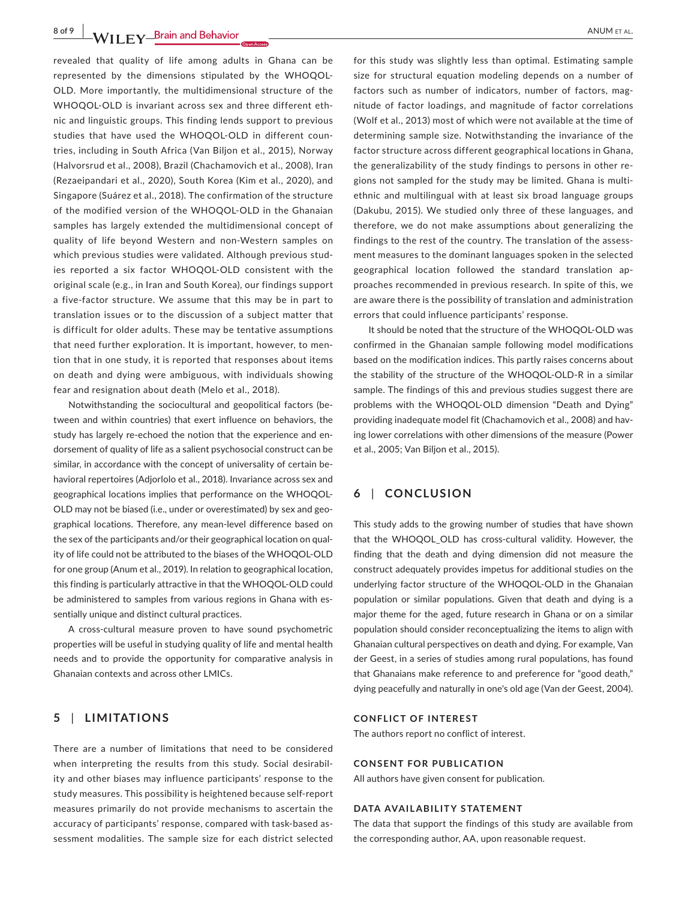**8 of 9 |**  ANUM et al.

revealed that quality of life among adults in Ghana can be represented by the dimensions stipulated by the WHOQOL-OLD. More importantly, the multidimensional structure of the WHOQOL-OLD is invariant across sex and three different ethnic and linguistic groups. This finding lends support to previous studies that have used the WHOQOL-OLD in different countries, including in South Africa (Van Biljon et al., 2015), Norway (Halvorsrud et al., 2008), Brazil (Chachamovich et al., 2008), Iran (Rezaeipandari et al., 2020), South Korea (Kim et al., 2020), and Singapore (Suárez et al., 2018). The confirmation of the structure of the modified version of the WHOQOL-OLD in the Ghanaian samples has largely extended the multidimensional concept of quality of life beyond Western and non-Western samples on which previous studies were validated. Although previous studies reported a six factor WHOQOL-OLD consistent with the original scale (e.g., in Iran and South Korea), our findings support a five-factor structure. We assume that this may be in part to translation issues or to the discussion of a subject matter that is difficult for older adults. These may be tentative assumptions that need further exploration. It is important, however, to mention that in one study, it is reported that responses about items on death and dying were ambiguous, with individuals showing fear and resignation about death (Melo et al., 2018).

Notwithstanding the sociocultural and geopolitical factors (between and within countries) that exert influence on behaviors, the study has largely re-echoed the notion that the experience and endorsement of quality of life as a salient psychosocial construct can be similar, in accordance with the concept of universality of certain behavioral repertoires (Adjorlolo et al., 2018). Invariance across sex and geographical locations implies that performance on the WHOQOL-OLD may not be biased (i.e., under or overestimated) by sex and geographical locations. Therefore, any mean-level difference based on the sex of the participants and/or their geographical location on quality of life could not be attributed to the biases of the WHOQOL-OLD for one group (Anum et al., 2019). In relation to geographical location, this finding is particularly attractive in that the WHOQOL-OLD could be administered to samples from various regions in Ghana with essentially unique and distinct cultural practices.

A cross-cultural measure proven to have sound psychometric properties will be useful in studying quality of life and mental health needs and to provide the opportunity for comparative analysis in Ghanaian contexts and across other LMICs.

# **5** | **LIMITATIONS**

There are a number of limitations that need to be considered when interpreting the results from this study. Social desirability and other biases may influence participants' response to the study measures. This possibility is heightened because self-report measures primarily do not provide mechanisms to ascertain the accuracy of participants' response, compared with task-based assessment modalities. The sample size for each district selected

for this study was slightly less than optimal. Estimating sample size for structural equation modeling depends on a number of factors such as number of indicators, number of factors, magnitude of factor loadings, and magnitude of factor correlations (Wolf et al., 2013) most of which were not available at the time of determining sample size. Notwithstanding the invariance of the factor structure across different geographical locations in Ghana, the generalizability of the study findings to persons in other regions not sampled for the study may be limited. Ghana is multiethnic and multilingual with at least six broad language groups (Dakubu, 2015). We studied only three of these languages, and therefore, we do not make assumptions about generalizing the findings to the rest of the country. The translation of the assessment measures to the dominant languages spoken in the selected geographical location followed the standard translation approaches recommended in previous research. In spite of this, we are aware there is the possibility of translation and administration errors that could influence participants' response.

It should be noted that the structure of the WHOQOL-OLD was confirmed in the Ghanaian sample following model modifications based on the modification indices. This partly raises concerns about the stability of the structure of the WHOQOL-OLD-R in a similar sample. The findings of this and previous studies suggest there are problems with the WHOQOL-OLD dimension "Death and Dying" providing inadequate model fit (Chachamovich et al., 2008) and having lower correlations with other dimensions of the measure (Power et al., 2005; Van Biljon et al., 2015).

# **6** | **CONCLUSION**

This study adds to the growing number of studies that have shown that the WHOQOL\_OLD has cross-cultural validity. However, the finding that the death and dying dimension did not measure the construct adequately provides impetus for additional studies on the underlying factor structure of the WHOQOL-OLD in the Ghanaian population or similar populations. Given that death and dying is a major theme for the aged, future research in Ghana or on a similar population should consider reconceptualizing the items to align with Ghanaian cultural perspectives on death and dying. For example, Van der Geest, in a series of studies among rural populations, has found that Ghanaians make reference to and preference for "good death," dying peacefully and naturally in one's old age (Van der Geest, 2004).

#### **CONFLICT OF INTEREST**

The authors report no conflict of interest.

#### **CONSENT FOR PUBLICATION**

All authors have given consent for publication.

#### **DATA AVAILABILITY STATEMENT**

The data that support the findings of this study are available from the corresponding author, AA, upon reasonable request.